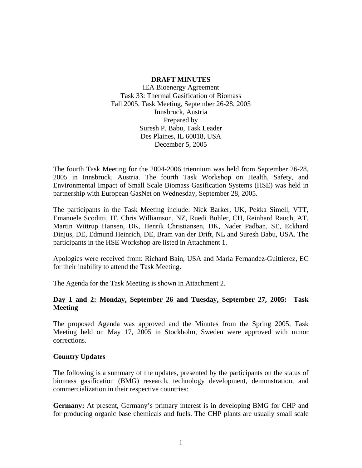#### **DRAFT MINUTES**

IEA Bioenergy Agreement Task 33: Thermal Gasification of Biomass Fall 2005, Task Meeting, September 26-28, 2005 Innsbruck, Austria Prepared by Suresh P. Babu, Task Leader Des Plaines, IL 60018, USA December 5, 2005

The fourth Task Meeting for the 2004-2006 triennium was held from September 26-28, 2005 in Innsbruck, Austria. The fourth Task Workshop on Health, Safety, and Environmental Impact of Small Scale Biomass Gasification Systems (HSE) was held in partnership with European GasNet on Wednesday, September 28, 2005.

The participants in the Task Meeting include: Nick Barker, UK, Pekka Simell, VTT, Emanuele Scoditti, IT, Chris Williamson, NZ, Ruedi Buhler, CH, Reinhard Rauch, AT, Martin Wittrup Hansen, DK, Henrik Christiansen, DK, Nader Padban, SE, Eckhard Dinjus, DE, Edmund Heinrich, DE, Bram van der Drift, NL and Suresh Babu, USA. The participants in the HSE Workshop are listed in Attachment 1.

Apologies were received from: Richard Bain, USA and Maria Fernandez-Guittierez, EC for their inability to attend the Task Meeting.

The Agenda for the Task Meeting is shown in Attachment 2.

## **Day 1 and 2: Monday, September 26 and Tuesday, September 27, 2005: Task Meeting**

The proposed Agenda was approved and the Minutes from the Spring 2005, Task Meeting held on May 17, 2005 in Stockholm, Sweden were approved with minor corrections.

### **Country Updates**

The following is a summary of the updates, presented by the participants on the status of biomass gasification (BMG) research, technology development, demonstration, and commercialization in their respective countries:

**Germany:** At present, Germany's primary interest is in developing BMG for CHP and for producing organic base chemicals and fuels. The CHP plants are usually small scale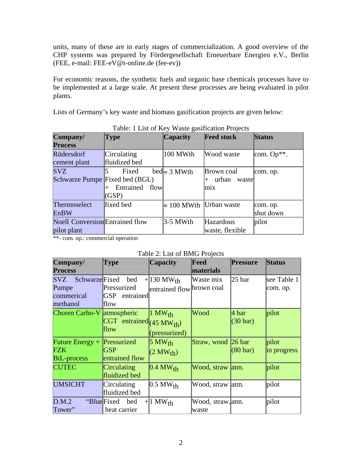units, many of these are in early stages of commercialization. A good overview of the CHP systems was prepared by Fördergesellschaft Erneuerbare Energien e.V., Berlin (FEE, e-mail: FEE-eV@t-online.de (fee-ev))

For economic reasons, the synthetic fuels and organic base chemicals processes have to be implemented at a large scale. At present these processes are being evaluated in pilot plants.

Lists of Germany's key waste and biomass gasification projects are given below:

| Company/                               | <b>Type</b>       | <b>Capacity</b>      | <b>Feed stock</b> | <b>Status</b> |
|----------------------------------------|-------------------|----------------------|-------------------|---------------|
| <b>Process</b>                         |                   |                      |                   |               |
| Rüdersdorf                             | Circulating       | 100 MWth             | Wood waste        | com. $Op**$ . |
| cement plant                           | fluidized bed     |                      |                   |               |
| <b>SVZ</b>                             | Fixed             | bed $\approx$ 3 MWth | Brown coal        | com. op.      |
| Schwarze Pumpe Fixed bed (BGL)         |                   |                      | urban<br>waste    |               |
|                                        | Entrained<br>flow |                      | mix               |               |
|                                        | (GSP)             |                      |                   |               |
| <b>Thermoselect</b>                    | fixed bed         | $\approx 100$ MWth   | Urban waste       | com. op.      |
| EnBW                                   |                   |                      |                   | shut down     |
| <b>Noell Conversion</b> Entrained flow |                   | $3-5$ MWth           | Hazardous         | pilot         |
| pilot plant                            |                   |                      | waste, flexible   |               |

Table: 1 List of Key Waste gasification Projects

\*\*- com. op.: commercial operation

| Company/                                                   | <b>Type</b>                                                 | <b>Capacity</b>                                      | Feed                       | <b>Pressure</b>             | <b>Status</b>           |
|------------------------------------------------------------|-------------------------------------------------------------|------------------------------------------------------|----------------------------|-----------------------------|-------------------------|
| <b>Process</b>                                             |                                                             |                                                      | materials                  |                             |                         |
| <b>Schwarze</b> Fixed<br><b>SVZ</b><br>Pumpe<br>commerical | bed<br>Pressurized<br> GSP<br>entrained                     | $+130$ MW <sub>th</sub><br>entrained flow brown coal | Waste mix                  | 25 bar                      | see Table 1<br>com. op. |
| methanol<br>Choren Carbo-V atmospheric                     | flow<br>CGT entrained $(45 \text{ MW}_{\text{th}})$<br>flow | $1$ MW <sub>th</sub><br>(prescurized)                | Wood                       | 4 bar<br>$(30 \text{ bar})$ | pilot                   |
| Future Energy $+$<br>FZK<br><b>BtL-process</b>             | Pressurized<br><b>GSP</b><br>entrained flow                 | $5 \text{ MW}_{\text{th}}$<br>(2 MW <sub>th</sub> )  | Straw, wood 26 bar         | $(80 \text{ bar})$          | pilot<br>in progress    |
| <b>CUTEC</b>                                               | Circulating<br>fluidized bed                                | $0.4~MW_{th}$                                        | Wood, straw atm.           |                             | pilot                   |
| <b>UMSICHT</b>                                             | Circulating<br>fluidized bed                                | $0.5 \text{ MW}_{\text{th}}$                         | Wood, straw  atm.          |                             | pilot                   |
| D.M.2<br>Tower"                                            | "BlueFixed bed"<br>heat carrier                             | $+1$ MW <sub>th</sub>                                | Wood, straw, atm.<br>waste |                             | pilot                   |

### Table 2: List of BMG Projects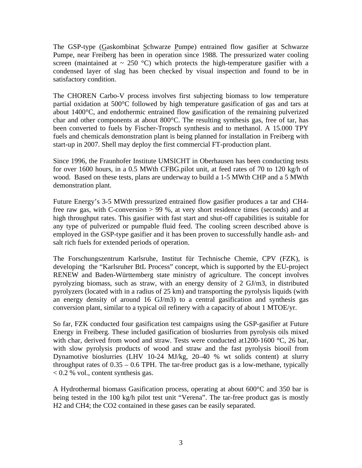The GSP-type (Gaskombinat Schwarze Pumpe) entrained flow gasifier at Schwarze Pumpe, near Freiberg has been in operation since 1988. The pressurized water cooling screen (maintained at  $\sim 250$  °C) which protects the high-temperature gasifier with a condensed layer of slag has been checked by visual inspection and found to be in satisfactory condition.

The CHOREN Carbo-V process involves first subjecting biomass to low temperature partial oxidation at 500°C followed by high temperature gasification of gas and tars at about 1400°C, and endothermic entrained flow gasification of the remaining pulverized char and other components at about 800°C. The resulting synthesis gas, free of tar, has been converted to fuels by Fischer-Tropsch synthesis and to methanol. A 15.000 TPY fuels and chemicals demonstration plant is being planned for installation in Freiberg with start-up in 2007. Shell may deploy the first commercial FT-production plant.

Since 1996, the Fraunhofer Institute UMSICHT in Oberhausen has been conducting tests for over 1600 hours, in a 0.5 MWth CFBG.pilot unit, at feed rates of 70 to 120 kg/h of wood. Based on these tests, plans are underway to build a 1-5 MWth CHP and a 5 MWth demonstration plant.

Future Energy's 3-5 MWth pressurized entrained flow gasifier produces a tar and CH4 free raw gas, with C-conversion > 99 %, at very short residence times (seconds) and at high throughput rates. This gasifier with fast start and shut-off capabilities is suitable for any type of pulverized or pumpable fluid feed. The cooling screen described above is employed in the GSP-type gasifier and it has been proven to successfully handle ash- and salt rich fuels for extended periods of operation.

The Forschungszentrum Karlsruhe, Institut für Technische Chemie, CPV (FZK), is developing the "Karlsruher BtL Process" concept, which is supported by the EU-project RENEW and Baden-Württemberg state ministry of agriculture. The concept involves pyrolyzing biomass, such as straw, with an energy density of 2 GJ/m3, in distributed pyrolyzers (located with in a radius of 25 km) and transporting the pyrolysis liquids (with an energy density of around 16 GJ/m3) to a central gasification and synthesis gas conversion plant, similar to a typical oil refinery with a capacity of about 1 MTOE/yr.

So far, FZK conducted four gasification test campaigns using the GSP-gasifier at Future Energy in Freiberg. These included gasification of bioslurries from pyrolysis oils mixed with char, derived from wood and straw. Tests were conducted at 1200-1600 °C, 26 bar, with slow pyrolysis products of wood and straw and the fast pyrolysis biooil from Dynamotive bioslurries (LHV 10-24 MJ/kg, 20–40 % wt solids content) at slurry throughput rates of  $0.35 - 0.6$  TPH. The tar-free product gas is a low-methane, typically  $< 0.2$  % vol., content synthesis gas.

A Hydrothermal biomass Gasification process, operating at about 600°C and 350 bar is being tested in the 100 kg/h pilot test unit "Verena". The tar-free product gas is mostly H2 and CH4; the CO2 contained in these gases can be easily separated.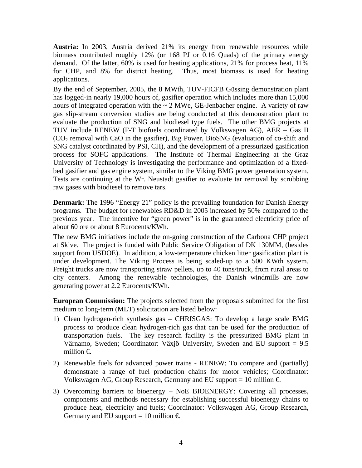**Austria:** In 2003, Austria derived 21% its energy from renewable resources while biomass contributed roughly 12% (or 168 PJ or 0.16 Quads) of the primary energy demand. Of the latter, 60% is used for heating applications, 21% for process heat, 11% for CHP, and 8% for district heating. Thus, most biomass is used for heating applications.

By the end of September, 2005, the 8 MWth, TUV-FICFB Güssing demonstration plant has logged-in nearly 19,000 hours of, gasifier operation which includes more than 15,000 hours of integrated operation with the  $\sim 2$  MWe, GE-Jenbacher engine. A variety of raw gas slip-stream conversion studies are being conducted at this demonstration plant to evaluate the production of SNG and biodiesel type fuels. The other BMG projects at TUV include RENEW (F-T biofuels coordinated by Volkswagen AG), AER – Gas II (CO2 removal with CaO in the gasifier), Big Power, BioSNG (evaluation of co-shift and SNG catalyst coordinated by PSI, CH), and the development of a pressurized gasification process for SOFC applications. The Institute of Thermal Engineering at the Graz University of Technology is investigating the performance and optimization of a fixedbed gasifier and gas engine system, similar to the Viking BMG power generation system. Tests are continuing at the Wr. Neustadt gasifier to evaluate tar removal by scrubbing raw gases with biodiesel to remove tars.

**Denmark:** The 1996 "Energy 21" policy is the prevailing foundation for Danish Energy programs. The budget for renewables RD&D in 2005 increased by 50% compared to the previous year. The incentive for "green power" is in the guaranteed electricity price of about 60 ore or about 8 Eurocents/KWh.

The new BMG initiatives include the on-going construction of the Carbona CHP project at Skive. The project is funded with Public Service Obligation of DK 130MM, (besides support from USDOE). In addition, a low-temperature chicken litter gasification plant is under development. The Viking Process is being scaled-up to a 500 KWth system. Freight trucks are now transporting straw pellets, up to 40 tons/truck, from rural areas to city centers. Among the renewable technologies, the Danish windmills are now generating power at 2.2 Eurocents/KWh.

**European Commission:** The projects selected from the proposals submitted for the first medium to long-term (MLT) solicitation are listed below:

- 1) Clean hydrogen-rich synthesis gas CHRISGAS: To develop a large scale BMG process to produce clean hydrogen-rich gas that can be used for the production of transportation fuels. The key research facility is the pressurized BMG plant in Värnamo, Sweden; Coordinator: Växjö University, Sweden and EU support = 9.5 million  $\in$
- 2) Renewable fuels for advanced power trains RENEW: To compare and (partially) demonstrate a range of fuel production chains for motor vehicles; Coordinator: Volkswagen AG, Group Research, Germany and EU support = 10 million  $\epsilon$ .
- 3) Overcoming barriers to bioenergy NoE BIOENERGY: Covering all processes, components and methods necessary for establishing successful bioenergy chains to produce heat, electricity and fuels; Coordinator: Volkswagen AG, Group Research, Germany and EU support = 10 million  $\epsilon$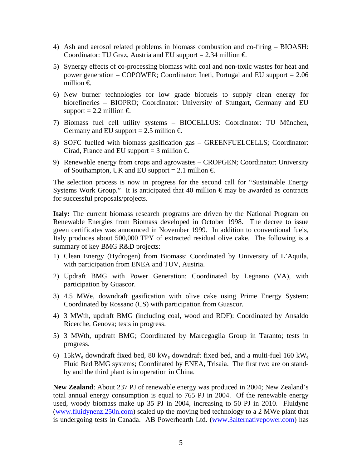- 4) Ash and aerosol related problems in biomass combustion and co-firing BIOASH: Coordinator: TU Graz, Austria and EU support = 2.34 million  $\epsilon$ .
- 5) Synergy effects of co-processing biomass with coal and non-toxic wastes for heat and power generation – COPOWER; Coordinator: Ineti, Portugal and EU support = 2.06 million €.
- 6) New burner technologies for low grade biofuels to supply clean energy for biorefineries – BIOPRO; Coordinator: University of Stuttgart, Germany and EU support = 2.2 million  $\epsilon$
- 7) Biomass fuel cell utility systems BIOCELLUS: Coordinator: TU München, Germany and EU support = 2.5 million  $\epsilon$ .
- 8) SOFC fuelled with biomass gasification gas GREENFUELCELLS; Coordinator: Cirad, France and EU support = 3 million  $\epsilon$ .
- 9) Renewable energy from crops and agrowastes CROPGEN; Coordinator: University of Southampton, UK and EU support = 2.1 million  $\in$

The selection process is now in progress for the second call for "Sustainable Energy Systems Work Group." It is anticipated that 40 million  $\epsilon$  may be awarded as contracts for successful proposals/projects.

**Italy:** The current biomass research programs are driven by the National Program on Renewable Energies from Biomass developed in October 1998. The decree to issue green certificates was announced in November 1999. In addition to conventional fuels, Italy produces about 500,000 TPY of extracted residual olive cake. The following is a summary of key BMG R&D projects:

- 1) Clean Energy (Hydrogen) from Biomass: Coordinated by University of L'Aquila, with participation from ENEA and TUV, Austria.
- 2) Updraft BMG with Power Generation: Coordinated by Legnano (VA), with participation by Guascor.
- 3) 4.5 MWe, downdraft gasification with olive cake using Prime Energy System: Coordinated by Rossano (CS) with participation from Guascor.
- 4) 3 MWth, updraft BMG (including coal, wood and RDF): Coordinated by Ansaldo Ricerche, Genova; tests in progress.
- 5) 3 MWth, updraft BMG; Coordinated by Marcegaglia Group in Taranto; tests in progress.
- 6) 15kW<sub>e</sub> downdraft fixed bed, 80 kW<sub>e</sub> downdraft fixed bed, and a multi-fuel 160 kW<sub>e</sub> Fluid Bed BMG systems; Coordinated by ENEA, Trisaia. The first two are on standby and the third plant is in operation in China.

**New Zealand**: About 237 PJ of renewable energy was produced in 2004; New Zealand's total annual energy consumption is equal to 765 PJ in 2004. Of the renewable energy used, woody biomass make up 35 PJ in 2004, increasing to 50 PJ in 2010. Fluidyne (www.fluidynenz.250n.com) scaled up the moving bed technology to a 2 MWe plant that is undergoing tests in Canada. AB Powerhearth Ltd. (www.3alternativepower.com) has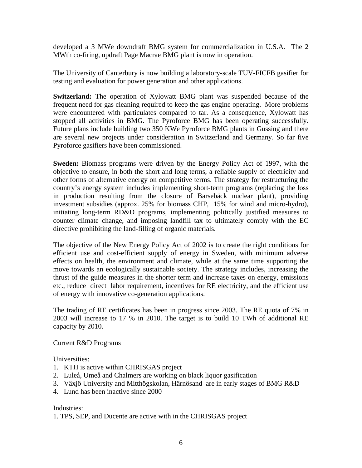developed a 3 MWe downdraft BMG system for commercialization in U.S.A. The 2 MWth co-firing, updraft Page Macrae BMG plant is now in operation.

The University of Canterbury is now building a laboratory-scale TUV-FICFB gasifier for testing and evaluation for power generation and other applications.

**Switzerland:** The operation of Xylowatt BMG plant was suspended because of the frequent need for gas cleaning required to keep the gas engine operating. More problems were encountered with particulates compared to tar. As a consequence, Xylowatt has stopped all activities in BMG. The Pyroforce BMG has been operating successfully. Future plans include building two 350 KWe Pyroforce BMG plants in Güssing and there are several new projects under consideration in Switzerland and Germany. So far five Pyroforce gasifiers have been commissioned.

**Sweden:** Biomass programs were driven by the Energy Policy Act of 1997, with the objective to ensure, in both the short and long terms, a reliable supply of electricity and other forms of alternative energy on competitive terms. The strategy for restructuring the country's energy system includes implementing short-term programs (replacing the loss in production resulting from the closure of Barsebäck nuclear plant), providing investment subsidies (approx. 25% for biomass CHP, 15% for wind and micro-hydro), initiating long-term RD&D programs, implementing politically justified measures to counter climate change, and imposing landfill tax to ultimately comply with the EC directive prohibiting the land-filling of organic materials.

The objective of the New Energy Policy Act of 2002 is to create the right conditions for efficient use and cost-efficient supply of energy in Sweden, with minimum adverse effects on health, the environment and climate, while at the same time supporting the move towards an ecologically sustainable society. The strategy includes, increasing the thrust of the guide measures in the shorter term and increase taxes on energy, emissions etc., reduce direct labor requirement, incentives for RE electricity, and the efficient use of energy with innovative co-generation applications.

The trading of RE certificates has been in progress since 2003. The RE quota of 7% in 2003 will increase to 17 % in 2010. The target is to build 10 TWh of additional RE capacity by 2010.

### Current R&D Programs

Universities:

- 1. KTH is active within CHRISGAS project
- 2. Luleå, Umeå and Chalmers are working on black liquor gasification
- 3. Växjö University and Mitthögskolan, Härnösand are in early stages of BMG R&D
- 4. Lund has been inactive since 2000

Industries:

1. TPS, SEP, and Ducente are active with in the CHRISGAS project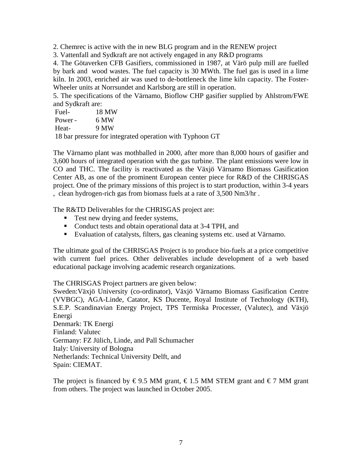2. Chemrec is active with the in new BLG program and in the RENEW project

3. Vattenfall and Sydkraft are not actively engaged in any R&D programs

4. The Götaverken CFB Gasifiers, commissioned in 1987, at Värö pulp mill are fuelled by bark and wood wastes. The fuel capacity is 30 MWth. The fuel gas is used in a lime kiln. In 2003, enriched air was used to de-bottleneck the lime kiln capacity. The Foster-Wheeler units at Norrsundet and Karlsborg are still in operation.

5. The specifications of the Värnamo, Bioflow CHP gasifier supplied by Ahlstrom/FWE and Sydkraft are:

| Fuel-   | 18 MW                                                |  |
|---------|------------------------------------------------------|--|
| Power - | 6 MW                                                 |  |
| Heat-   | 9 MW                                                 |  |
|         | . 10 keuwesanye faujutasu tada manatisu mitk Trukseu |  |

18 bar pressure for integrated operation with Typhoon GT

The Värnamo plant was mothballed in 2000, after more than 8,000 hours of gasifier and 3,600 hours of integrated operation with the gas turbine. The plant emissions were low in CO and THC. The facility is reactivated as the Växjö Värnamo Biomass Gasification Center AB, as one of the prominent European center piece for R&D of the CHRISGAS project. One of the primary missions of this project is to start production, within 3-4 years , clean hydrogen-rich gas from biomass fuels at a rate of 3,500 Nm3/hr .

The R&TD Deliverables for the CHRISGAS project are:

- Test new drying and feeder systems,
- Conduct tests and obtain operational data at 3-4 TPH, and
- Evaluation of catalysts, filters, gas cleaning systems etc. used at Värnamo.

The ultimate goal of the CHRISGAS Project is to produce bio-fuels at a price competitive with current fuel prices. Other deliverables include development of a web based educational package involving academic research organizations.

The CHRISGAS Project partners are given below:

Sweden:Växjö University (co-ordinator), Växjö Värnamo Biomass Gasification Centre (VVBGC), AGA-Linde, Catator, KS Ducente, Royal Institute of Technology (KTH), S.E.P. Scandinavian Energy Project, TPS Termiska Processer, (Valutec), and Växjö Energi

Denmark: TK Energi Finland: Valutec Germany: FZ Jülich, Linde, and Pall Schumacher Italy: University of Bologna Netherlands: Technical University Delft, and Spain: CIEMAT.

The project is financed by  $\epsilon$ 9.5 MM grant,  $\epsilon$ 1.5 MM STEM grant and  $\epsilon$ 7 MM grant from others. The project was launched in October 2005.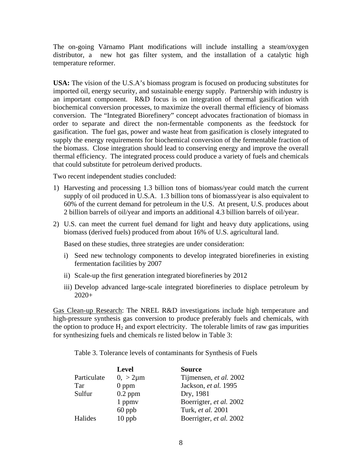The on-going Värnamo Plant modifications will include installing a steam/oxygen distributor, a new hot gas filter system, and the installation of a catalytic high temperature reformer.

**USA:** The vision of the U.S.A's biomass program is focused on producing substitutes for imported oil, energy security, and sustainable energy supply. Partnership with industry is an important component. R&D focus is on integration of thermal gasification with biochemical conversion processes, to maximize the overall thermal efficiency of biomass conversion. The "Integrated Biorefinery" concept advocates fractionation of biomass in order to separate and direct the non-fermentable components as the feedstock for gasification. The fuel gas, power and waste heat from gasification is closely integrated to supply the energy requirements for biochemical conversion of the fermentable fraction of the biomass. Close integration should lead to conserving energy and improve the overall thermal efficiency. The integrated process could produce a variety of fuels and chemicals that could substitute for petroleum derived products.

Two recent independent studies concluded:

- 1) Harvesting and processing 1.3 billion tons of biomass/year could match the current supply of oil produced in U.S.A. 1.3 billion tons of biomass/year is also equivalent to 60% of the current demand for petroleum in the U.S. At present, U.S. produces about 2 billion barrels of oil/year and imports an additional 4.3 billion barrels of oil/year.
- 2) U.S. can meet the current fuel demand for light and heavy duty applications, using biomass (derived fuels) produced from about 16% of U.S. agricultural land.

Based on these studies, three strategies are under consideration:

- i) Seed new technology components to develop integrated biorefineries in existing fermentation facilities by 2007
- ii) Scale-up the first generation integrated biorefineries by 2012
- iii) Develop advanced large-scale integrated biorefineries to displace petroleum by  $2020+$

Gas Clean-up Research: The NREL R&D investigations include high temperature and high-pressure synthesis gas conversion to produce preferably fuels and chemicals, with the option to produce  $H_2$  and export electricity. The tolerable limits of raw gas impurities for synthesizing fuels and chemicals re listed below in Table 3:

Table 3. Tolerance levels of contaminants for Synthesis of Fuels

|             | <b>Level</b>   | <b>Source</b>           |
|-------------|----------------|-------------------------|
| Particulate | $0, > 2 \mu m$ | Tijmensen, et al. 2002  |
| <b>Tar</b>  | $0$ ppm        | Jackson, et al. 1995    |
| Sulfur      | $0.2$ ppm      | Dry, 1981               |
|             | 1 ppmv         | Boerrigter, et al. 2002 |
|             | $60$ ppb       | Turk, et al. 2001       |
| Halides     | 10 ppb         | Boerrigter, et al. 2002 |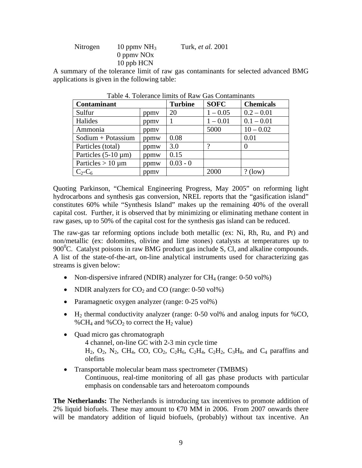| Nitrogen | 10 ppmy $NH3$ | Turk, <i>et al.</i> 2001 |
|----------|---------------|--------------------------|
|          | 0 ppmy $NOx$  |                          |
|          | 10 ppb HCN    |                          |

A summary of the tolerance limit of raw gas contaminants for selected advanced BMG applications is given in the following table:

| <b>Contaminant</b>       |      | <b>Turbine</b> | <b>SOFC</b> | <b>Chemicals</b> |
|--------------------------|------|----------------|-------------|------------------|
| Sulfur                   | ppmy | 20             | $1 - 0.05$  | $0.2 - 0.01$     |
| Halides                  | ppmy |                | $1 - 0.01$  | $0.1 - 0.01$     |
| Ammonia                  | ppmy |                | 5000        | $10 - 0.02$      |
| $Sodium + Potassium$     | ppmw | 0.08           |             | 0.01             |
| Particles (total)        | ppmw | 3.0            |             |                  |
| Particles $(5-10 \mu m)$ | ppmw | 0.15           |             |                  |
| Particles $> 10 \mu m$   | ppmw | $0.03 - 0$     |             |                  |
| $C_2$ - $C_6$            | ppmy |                | 2000        | (low)            |

Table 4. Tolerance limits of Raw Gas Contaminants

Quoting Parkinson, "Chemical Engineering Progress, May 2005" on reforming light hydrocarbons and synthesis gas conversion, NREL reports that the "gasification island" constitutes 60% while "Synthesis Island" makes up the remaining 40% of the overall capital cost. Further, it is observed that by minimizing or eliminating methane content in raw gases, up to 50% of the capital cost for the synthesis gas island can be reduced.

The raw-gas tar reforming options include both metallic (ex: Ni, Rh, Ru, and Pt) and non/metallic (ex: dolomites, olivine and lime stones) catalysts at temperatures up to 900 $\rm{^0C}$ . Catalyst poisons in raw BMG product gas include S, Cl, and alkaline compounds. A list of the state-of-the-art, on-line analytical instruments used for characterizing gas streams is given below:

- Non-dispersive infrared (NDIR) analyzer for  $CH_4$  (range: 0-50 vol%)
- NDIR analyzers for  $CO_2$  and  $CO$  (range: 0-50 vol%)
- Paramagnetic oxygen analyzer (range: 0-25 vol%)
- H<sub>2</sub> thermal conductivity analyzer (range:  $0-50$  vol% and analog inputs for %CO, %CH<sub>4</sub> and %CO<sub>2</sub> to correct the H<sub>2</sub> value)
- Quad micro gas chromatograph 4 channel, on-line GC with 2-3 min cycle time  $H_2$ ,  $O_2$ ,  $N_2$ ,  $CH_4$ ,  $CO$ ,  $CO_2$ ,  $C_2H_6$ ,  $C_2H_4$ ,  $C_2H_2$ ,  $C_3H_8$ , and  $C_4$  paraffins and olefins
- Transportable molecular beam mass spectrometer (TMBMS) Continuous, real-time monitoring of all gas phase products with particular emphasis on condensable tars and heteroatom compounds

**The Netherlands:** The Netherlands is introducing tax incentives to promote addition of 2% liquid biofuels. These may amount to  $\epsilon$ 70 MM in 2006. From 2007 onwards there will be mandatory addition of liquid biofuels, (probably) without tax incentive. An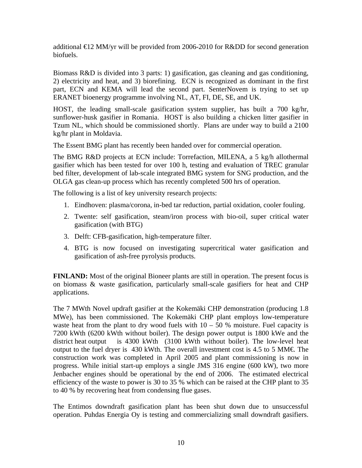additional  $E2$  MM/yr will be provided from 2006-2010 for R&DD for second generation biofuels.

Biomass R&D is divided into 3 parts: 1) gasification, gas cleaning and gas conditioning, 2) electricity and heat, and 3) biorefining. ECN is recognized as dominant in the first part, ECN and KEMA will lead the second part. SenterNovem is trying to set up ERANET bioenergy programme involving NL, AT, FI, DE, SE, and UK.

HOST, the leading small-scale gasification system supplier, has built a 700 kg/hr, sunflower-husk gasifier in Romania. HOST is also building a chicken litter gasifier in Tzum NL, which should be commissioned shortly. Plans are under way to build a 2100 kg/hr plant in Moldavia.

The Essent BMG plant has recently been handed over for commercial operation.

The BMG R&D projects at ECN include: Torrefaction, MILENA, a 5 kg/h allothermal gasifier which has been tested for over 100 h, testing and evaluation of TREC granular bed filter, development of lab-scale integrated BMG system for SNG production, and the OLGA gas clean-up process which has recently completed 500 hrs of operation.

The following is a list of key university research projects:

- 1. Eindhoven: plasma/corona, in-bed tar reduction, partial oxidation, cooler fouling.
- 2. Twente: self gasification, steam/iron process with bio-oil, super critical water gasification (with BTG)
- 3. Delft: CFB-gasification, high-temperature filter.
- 4. BTG is now focused on investigating supercritical water gasification and gasification of ash-free pyrolysis products.

**FINLAND:** Most of the original Bioneer plants are still in operation. The present focus is on biomass & waste gasification, particularly small-scale gasifiers for heat and CHP applications.

The 7 MWth Novel updraft gasifier at the Kokemäki CHP demonstration (producing 1.8 MWe), has been commissioned. The Kokemäki CHP plant employs low-temperature waste heat from the plant to dry wood fuels with  $10 - 50$  % moisture. Fuel capacity is 7200 kWth (6200 kWth without boiler). The design power output is 1800 kWe and the district heat output is 4300 kWth (3100 kWth without boiler). The low-level heat output to the fuel dryer is 430 kWth. The overall investment cost is 4.5 to 5 MM $\epsilon$  The construction work was completed in April 2005 and plant commissioning is now in progress. While initial start-up employs a single JMS 316 engine (600 kW), two more Jenbacher engines should be operational by the end of 2006. The estimated electrical efficiency of the waste to power is 30 to 35 % which can be raised at the CHP plant to 35 to 40 % by recovering heat from condensing flue gases.

The Entimos downdraft gasification plant has been shut down due to unsuccessful operation. Puhdas Energia Oy is testing and commercializing small downdraft gasifiers.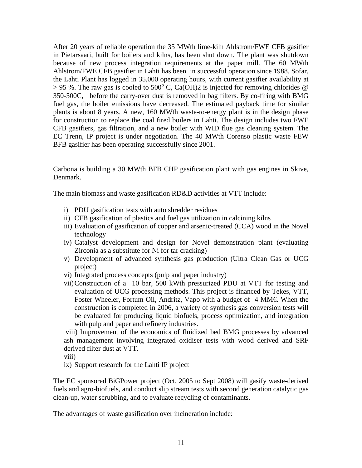After 20 years of reliable operation the 35 MWth lime-kiln Ahlstrom/FWE CFB gasifier in Pietarsaari, built for boilers and kilns, has been shut down. The plant was shutdown because of new process integration requirements at the paper mill. The 60 MWth Ahlstrom/FWE CFB gasifier in Lahti has been in successful operation since 1988. Sofar, the Lahti Plant has logged in 35,000 operating hours, with current gasifier availability at  $> 95$  %. The raw gas is cooled to 500°C, Ca(OH)2 is injected for removing chlorides @ 350-500C, before the carry-over dust is removed in bag filters. By co-firing with BMG fuel gas, the boiler emissions have decreased. The estimated payback time for similar plants is about 8 years. A new, 160 MWth waste-to-energy plant is in the design phase for construction to replace the coal fired boilers in Lahti. The design includes two FWE CFB gasifiers, gas filtration, and a new boiler with WID flue gas cleaning system. The EC Trenn, IP project is under negotiation. The 40 MWth Corenso plastic waste FEW BFB gasifier has been operating successfully since 2001.

Carbona is building a 30 MWth BFB CHP gasification plant with gas engines in Skive, Denmark.

The main biomass and waste gasification RD&D activities at VTT include:

- i) PDU gasification tests with auto shredder residues
- ii) CFB gasification of plastics and fuel gas utilization in calcining kilns
- iii) Evaluation of gasification of copper and arsenic-treated (CCA) wood in the Novel technology
- iv) Catalyst development and design for Novel demonstration plant (evaluating Zirconia as a substitute for Ni for tar cracking)
- v) Development of advanced synthesis gas production (Ultra Clean Gas or UCG project)
- vi) Integrated process concepts (pulp and paper industry)
- vii)Construction of a 10 bar, 500 kWth pressurized PDU at VTT for testing and evaluation of UCG processing methods. This project is financed by Tekes, VTT, Foster Wheeler, Fortum Oil, Andritz, Vapo with a budget of  $4$  MM $\in$  When the construction is completed in 2006, a variety of synthesis gas conversion tests will be evaluated for producing liquid biofuels, process optimization, and integration with pulp and paper and refinery industries.

 viii) Improvement of the economics of fluidized bed BMG processes by advanced ash management involving integrated oxidiser tests with wood derived and SRF derived filter dust at VTT.

viii)

ix) Support research for the Lahti IP project

The EC sponsored BiGPower project (Oct. 2005 to Sept 2008) will gasify waste-derived fuels and agro-biofuels, and conduct slip stream tests with second generation catalytic gas clean-up, water scrubbing, and to evaluate recycling of contaminants.

The advantages of waste gasification over incineration include: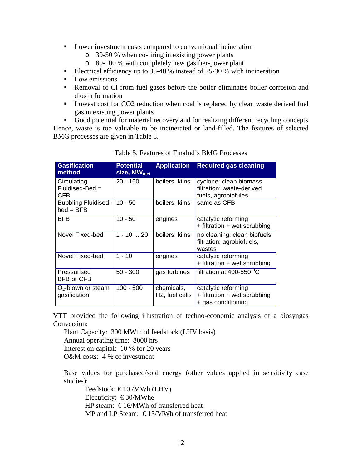- **Lower investment costs compared to conventional incineration** 
	- o 30-50 % when co-firing in existing power plants
	- o 80-100 % with completely new gasifier-power plant
- Electrical efficiency up to 35-40 % instead of 25-30 % with incineration
- **Low emissions**
- Removal of Cl from fuel gases before the boiler eliminates boiler corrosion and dioxin formation
- **Lowest cost for CO2 reduction when coal is replaced by clean waste derived fuel** gas in existing power plants

Good potential for material recovery and for realizing different recycling concepts Hence, waste is too valuable to be incinerated or land-filled. The features of selected BMG processes are given in Table 5.

| <b>Gasification</b><br>method             | <b>Potential</b><br>size, MW <sub>fuel</sub> | <b>Application</b>                        | <b>Required gas cleaning</b>                                               |
|-------------------------------------------|----------------------------------------------|-------------------------------------------|----------------------------------------------------------------------------|
| Circulating<br>Fluidised-Bed =<br>CFB.    | $20 - 150$                                   | boilers, kilns                            | cyclone: clean biomass<br>filtration: waste-derived<br>fuels, agrobiofules |
| <b>Bubbling Fluidised-</b><br>$bed = BFB$ | $10 - 50$                                    | boilers, kilns                            | same as CFB                                                                |
| <b>BFB</b>                                | $10 - 50$                                    | engines                                   | catalytic reforming<br>+ filtration + wet scrubbing                        |
| Novel Fixed-bed                           | $1 - 1020$                                   | boilers, kilns                            | no cleaning: clean biofuels<br>filtration: agrobiofuels,<br>wastes         |
| Novel Fixed-bed                           | $1 - 10$                                     | engines                                   | catalytic reforming<br>+ filtration + wet scrubbing                        |
| Pressurised<br>BFB or CFB                 | $50 - 300$                                   | gas turbines                              | filtration at 400-550 °C                                                   |
| $O_2$ -blown or steam<br>gasification     | $100 - 500$                                  | chemicals,<br>H <sub>2</sub> , fuel cells | catalytic reforming<br>+ filtration + wet scrubbing<br>+ gas conditioning  |

Table 5. Features of Finalnd's BMG Processes

VTT provided the following illustration of techno-economic analysis of a biosyngas Conversion:

Plant Capacity: 300 MWth of feedstock (LHV basis) Annual operating time: 8000 hrs Interest on capital: 10 % for 20 years O&M costs: 4 % of investment

Base values for purchased/sold energy (other values applied in sensitivity case studies):

Feedstock:  $\epsilon$ 10 /MWh (LHV) Electricity:  $\epsilon$ 30/MWhe HP steam:  $\epsilon$ 16/MWh of transferred heat MP and LP Steam:  $\epsilon$ 13/MWh of transferred heat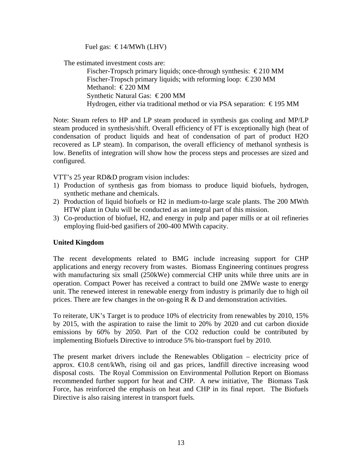Fuel gas:  $€14/MWh$  (LHV)

The estimated investment costs are:

Fischer-Tropsch primary liquids; once-through synthesis:  $\epsilon$ 210 MM Fischer-Tropsch primary liquids; with reforming loop:  $\epsilon$ 230 MM Methanol:  $\epsilon$ 220 MM Synthetic Natural Gas:  $\epsilon$ 200 MM Hydrogen, either via traditional method or via PSA separation: € 195 MM

Note: Steam refers to HP and LP steam produced in synthesis gas cooling and MP/LP steam produced in synthesis/shift. Overall efficiency of FT is exceptionally high (heat of condensation of product liquids and heat of condensation of part of product H2O recovered as LP steam). In comparison, the overall efficiency of methanol synthesis is low. Benefits of integration will show how the process steps and processes are sized and configured.

VTT's 25 year RD&D program vision includes:

- 1) Production of synthesis gas from biomass to produce liquid biofuels, hydrogen, synthetic methane and chemicals.
- 2) Production of liquid biofuels or H2 in medium-to-large scale plants. The 200 MWth HTW plant in Oulu will be conducted as an integral part of this mission.
- 3) Co-production of biofuel, H2, and energy in pulp and paper mills or at oil refineries employing fluid-bed gasifiers of 200-400 MWth capacity.

# **United Kingdom**

The recent developments related to BMG include increasing support for CHP applications and energy recovery from wastes. Biomass Engineering continues progress with manufacturing six small (250kWe) commercial CHP units while three units are in operation. Compact Power has received a contract to build one 2MWe waste to energy unit. The renewed interest in renewable energy from industry is primarily due to high oil prices. There are few changes in the on-going  $R \& D$  and demonstration activities.

To reiterate, UK's Target is to produce 10% of electricity from renewables by 2010, 15% by 2015, with the aspiration to raise the limit to 20% by 2020 and cut carbon dioxide emissions by 60% by 2050. Part of the CO2 reduction could be contributed by implementing Biofuels Directive to introduce 5% bio-transport fuel by 2010.

The present market drivers include the Renewables Obligation – electricity price of approx.  $\in 0.8$  cent/kWh, rising oil and gas prices, landfill directive increasing wood disposal costs. The Royal Commission on Environmental Pollution Report on Biomass recommended further support for heat and CHP. A new initiative, The Biomass Task Force, has reinforced the emphasis on heat and CHP in its final report. The Biofuels Directive is also raising interest in transport fuels.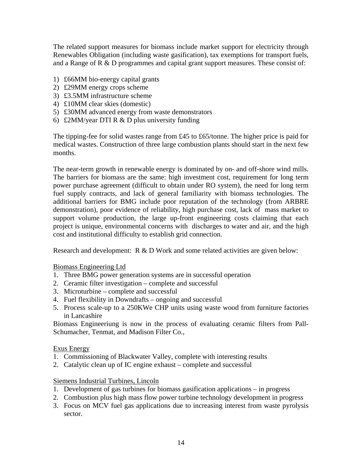The related support measures for biomass include market support for electricity through Renewables Obligation (including waste gasification), tax exemptions for transport fuels, and a Range of R & D programmes and capital grant support measures. These consist of:

- 1) £66MM bio-energy capital grants
- 2) £29MM energy crops scheme
- 3) £3.5MM infrastructure scheme
- 4) £10MM clear skies (domestic)
- 5) £30MM advanced energy from waste demonstrators
- 6) £2MM/year DTI R & D plus university funding

The tipping-fee for solid wastes range from £45 to £65/tonne. The higher price is paid for medical wastes. Construction of three large combustion plants should start in the next few months.

The near-term growth in renewable energy is dominated by on- and off-shore wind mills. The barriers for biomass are the same: high investment cost, requirement for long term power purchase agreement (difficult to obtain under RO system), the need for long term fuel supply contracts, and lack of general familiarity with biomass technologies. The additional barriers for BMG include poor reputation of the technology (from ARBRE demonstration), poor evidence of reliability, high purchase cost, lack of mass market to support volume production, the large up-front engineering costs claiming that each project is unique, environmental concerns with discharges to water and air, and the high cost and institutional difficulty to establish grid connection.

Research and development: R & D Work and some related activities are given below:

Biomass Engineering Ltd

- 1. Three BMG power generation systems are in successful operation
- 2. Ceramic filter investigation complete and successful
- 3. Microturbine complete and successful
- 4. Fuel flexibility in Downdrafts ongoing and successful
- 5. Process scale-up to a 250KWe CHP units using waste wood from furniture factories in Lancashire

Biomass Engineeriung is now in the process of evaluating ceramic filters from Pall-Schumacher, Tenmat, and Madison Filter Co.,

### Exus Energy

- 1. Commissioning of Blackwater Valley, complete with interesting results
- 2. Catalytic clean up of IC engine exhaust complete and successful

### Siemens Industrial Turbines, Lincoln

- 1. Development of gas turbines for biomass gasification applications in progress
- 2. Combustion plus high mass flow power turbine technology development in progress
- 3. Focus on MCV fuel gas applications due to increasing interest from waste pyrolysis sector.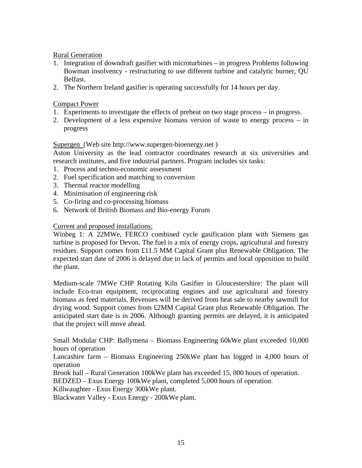# Rural Generation

- 1. Integration of downdraft gasifier with microturbines in progress Problems following Bowman insolvency - restructuring to use different turbine and catalytic burner, QU Belfast.
- 2. The Northern Ireland gasifier is operating successfully for 14 hours per day.

# Compact Power

- 1. Experiments to investigate the effects of preheat on two stage process in progress.
- 2. Development of a less expensive biomass version of waste to energy process in progress

## Supergen (Web site http://www.supergen-bioenergy.net )

Aston University as the lead contractor coordinates research at six universities and research institutes, and five industrial partners. Program includes six tasks:

- 1. Process and techno-economic assessment
- 2. Fuel specification and matching to conversion
- 3. Thermal reactor modelling
- 4. Minimisation of engineering risk
- 5. Co-firing and co-processing biomass
- 6. Network of British Biomass and Bio-energy Forum

## Current and proposed installations:

Winbeg 1: A 22MWe, FERCO combined cycle gasification plant with Siemens gas turbine is proposed for Devon. The fuel is a mix of energy crops, agricultural and forestry residues. Support comes from £11.5 MM Capital Grant plus Renewable Obligation. The expected start date of 2006 is delayed due to lack of permits and local opposition to build the plant.

Medium-scale 7MWe CHP Rotating Kiln Gasifier in Gloucestershire: The plant will include Eco-tran equipment, reciprocating engines and use agricultural and forestry biomass as feed materials. Revenues will be derived from heat sale to nearby sawmill for drying wood. Support comes from £2MM Capital Grant plus Renewable Obligation. The anticipated start date is in 2006. Although granting permits are delayed, it is anticipated that the project will move ahead.

Small Modular CHP: Ballymena – Biomass Engineering 60kWe plant exceeded 10,000 hours of operation

Lancashire farm – Biomass Engineering 250kWe plant has logged in 4,000 hours of operation

Brook hall – Rural Generation 100kWe plant has exceeded 15, 000 hours of operation.

BEDZED – Exus Energy 100kWe plant, completed 5,000 hours of operation.

Killwaughter - Exus Energy 300kWe plant.

Blackwater Valley - Exus Energy - 200kWe plant.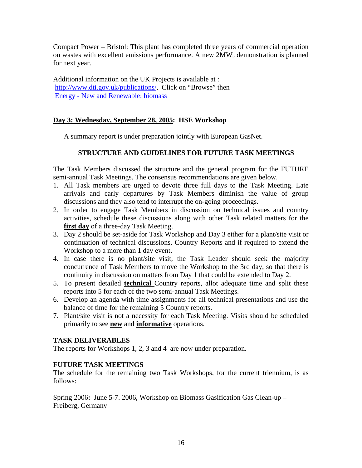Compact Power – Bristol: This plant has completed three years of commercial operation on wastes with excellent emissions performance. A new 2MWe demonstration is planned for next year.

Additional information on the UK Projects is available at : http://www.dti.gov.uk/publications/, Click on "Browse" then Energy - New and Renewable: biomass

# **Day 3: Wednesday, September 28, 2005: HSE Workshop**

A summary report is under preparation jointly with European GasNet.

# **STRUCTURE AND GUIDELINES FOR FUTURE TASK MEETINGS**

The Task Members discussed the structure and the general program for the FUTURE semi-annual Task Meetings. The consensus recommendations are given below.

- 1. All Task members are urged to devote three full days to the Task Meeting. Late arrivals and early departures by Task Members diminish the value of group discussions and they also tend to interrupt the on-going proceedings.
- 2. In order to engage Task Members in discussion on technical issues and country activities, schedule these discussions along with other Task related matters for the **first day** of a three-day Task Meeting.
- 3. Day 2 should be set-aside for Task Workshop and Day 3 either for a plant/site visit or continuation of technical discussions, Country Reports and if required to extend the Workshop to a more than 1 day event.
- 4. In case there is no plant/site visit, the Task Leader should seek the majority concurrence of Task Members to move the Workshop to the 3rd day, so that there is continuity in discussion on matters from Day 1 that could be extended to Day 2.
- 5. To present detailed **technical** Country reports, allot adequate time and split these reports into 5 for each of the two semi-annual Task Meetings.
- 6. Develop an agenda with time assignments for all technical presentations and use the balance of time for the remaining 5 Country reports.
- 7. Plant/site visit is not a necessity for each Task Meeting. Visits should be scheduled primarily to see **new** and **informative** operations.

### **TASK DELIVERABLES**

The reports for Workshops 1, 2, 3 and 4 are now under preparation.

# **FUTURE TASK MEETINGS**

The schedule for the remaining two Task Workshops, for the current triennium, is as follows:

Spring 2006**:** June 5-7. 2006, Workshop on Biomass Gasification Gas Clean-up – Freiberg, Germany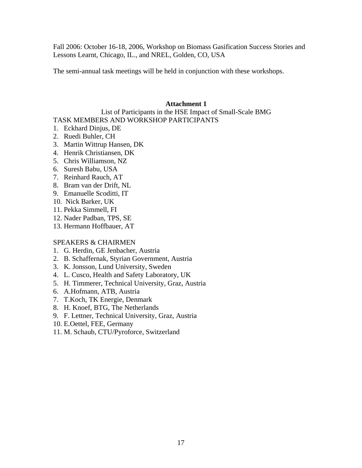Fall 2006: October 16-18, 2006, Workshop on Biomass Gasification Success Stories and Lessons Learnt, Chicago, IL., and NREL, Golden, CO, USA

The semi-annual task meetings will be held in conjunction with these workshops.

# **Attachment 1**

# List of Participants in the HSE Impact of Small-Scale BMG TASK MEMBERS AND WORKSHOP PARTICIPANTS

- 1. Eckhard Dinjus, DE
- 2. Ruedi Buhler, CH
- 3. Martin Wittrup Hansen, DK
- 4. Henrik Christiansen, DK
- 5. Chris Williamson, NZ
- 6. Suresh Babu, USA
- 7. Reinhard Rauch, AT
- 8. Bram van der Drift, NL
- 9. Emanuelle Scoditti, IT
- 10. Nick Barker, UK
- 11. Pekka Simmell, FI
- 12. Nader Padban, TPS, SE
- 13. Hermann Hoffbauer, AT

# SPEAKERS & CHAIRMEN

- 1. G. Herdin, GE Jenbacher, Austria
- 2. B. Schaffernak, Styrian Government, Austria
- 3. K. Jonsson, Lund University, Sweden
- 4. L. Cusco, Health and Safety Laboratory, UK
- 5. H. Timmerer, Technical University, Graz, Austria
- 6. A.Hofmann, ATB, Austria
- 7. T.Koch, TK Energie, Denmark
- 8. H. Knoef, BTG, The Netherlands
- 9. F. Lettner, Technical University, Graz, Austria
- 10. E.Oettel, FEE, Germany
- 11. M. Schaub, CTU/Pyroforce, Switzerland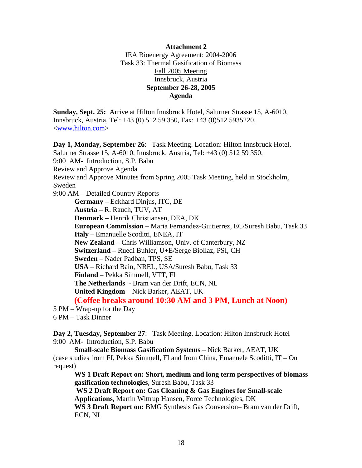## **Attachment 2**  IEA Bioenergy Agreement: 2004-2006 Task 33: Thermal Gasification of Biomass Fall 2005 Meeting Innsbruck, Austria **September 26-28, 2005 Agenda**

**Sunday, Sept. 25:** Arrive at Hilton Innsbruck Hotel, Salurner Strasse 15, A-6010, Innsbruck, Austria, Tel: +43 (0) 512 59 350, Fax: +43 (0)512 5935220, <www.hilton.com>

**Day 1, Monday, September 26**: Task Meeting. Location: Hilton Innsbruck Hotel, Salurner Strasse 15, A-6010, Innsbruck, Austria, Tel: +43 (0) 512 59 350, 9:00 AM- Introduction, S.P. Babu Review and Approve Agenda Review and Approve Minutes from Spring 2005 Task Meeting, held in Stockholm, Sweden 9:00 AM – Detailed Country Reports **Germany** – Eckhard Dinjus, ITC, DE **Austria –** R. Rauch, TUV, AT **Denmark –** Henrik Christiansen, DEA, DK **European Commission –** Maria Fernandez-Guitierrez, EC/Suresh Babu, Task 33 **Italy –** Emanuelle Scoditti, ENEA, IT **New Zealand –** Chris Williamson, Univ. of Canterbury, NZ **Switzerland –** Ruedi Buhler, U+E/Serge Biollaz, PSI, CH **Sweden** – Nader Padban, TPS, SE **USA** – Richard Bain, NREL, USA/Suresh Babu, Task 33 **Finland** – Pekka Simmell, VTT, FI **The Netherlands** - Bram van der Drift, ECN, NL **United Kingdom** – Nick Barker, AEAT, UK **(Coffee breaks around 10:30 AM and 3 PM, Lunch at Noon)** 5 PM – Wrap-up for the Day

6 PM – Task Dinner

**Day 2, Tuesday, September 27**: Task Meeting. Location: Hilton Innsbruck Hotel 9:00 AM- Introduction, S.P. Babu

**Small-scale Biomass Gasification Systems** – Nick Barker, AEAT, UK (case studies from FI, Pekka Simmell, FI and from China, Emanuele Scoditti, IT – On request)

**WS 1 Draft Report on: Short, medium and long term perspectives of biomass gasification technologies**, Suresh Babu, Task 33  **WS 2 Draft Report on: Gas Cleaning & Gas Engines for Small-scale Applications,** Martin Wittrup Hansen, Force Technologies, DK

**WS 3 Draft Report on:** BMG Synthesis Gas Conversion– Bram van der Drift, ECN, NL